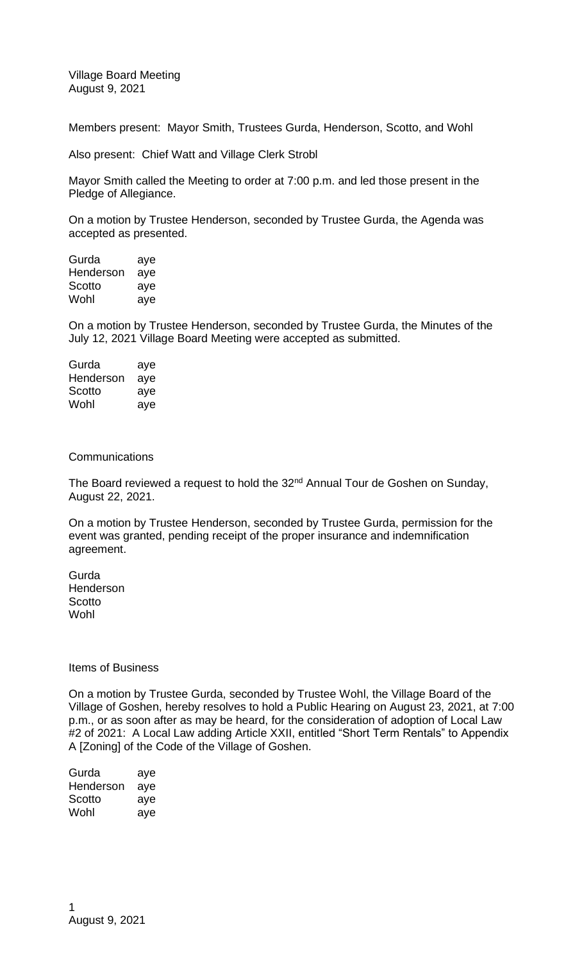Village Board Meeting August 9, 2021

Members present: Mayor Smith, Trustees Gurda, Henderson, Scotto, and Wohl

Also present: Chief Watt and Village Clerk Strobl

Mayor Smith called the Meeting to order at 7:00 p.m. and led those present in the Pledge of Allegiance.

On a motion by Trustee Henderson, seconded by Trustee Gurda, the Agenda was accepted as presented.

| Gurda     | aye |
|-----------|-----|
| Henderson | aye |
| Scotto    | aye |
| Wohl      | aye |

On a motion by Trustee Henderson, seconded by Trustee Gurda, the Minutes of the July 12, 2021 Village Board Meeting were accepted as submitted.

| Gurda     | aye |
|-----------|-----|
| Henderson | aye |
| Scotto    | aye |
| Wohl      | aye |

**Communications** 

The Board reviewed a request to hold the 32<sup>nd</sup> Annual Tour de Goshen on Sunday, August 22, 2021.

On a motion by Trustee Henderson, seconded by Trustee Gurda, permission for the event was granted, pending receipt of the proper insurance and indemnification agreement.

**Gurda** Henderson **Scotto Wohl** 

## Items of Business

On a motion by Trustee Gurda, seconded by Trustee Wohl, the Village Board of the Village of Goshen, hereby resolves to hold a Public Hearing on August 23, 2021, at 7:00 p.m., or as soon after as may be heard, for the consideration of adoption of Local Law #2 of 2021: A Local Law adding Article XXII, entitled "Short Term Rentals" to Appendix A [Zoning] of the Code of the Village of Goshen.

| Gurda     | aye |
|-----------|-----|
| Henderson | aye |
| Scotto    | aye |
| Wohl      | aye |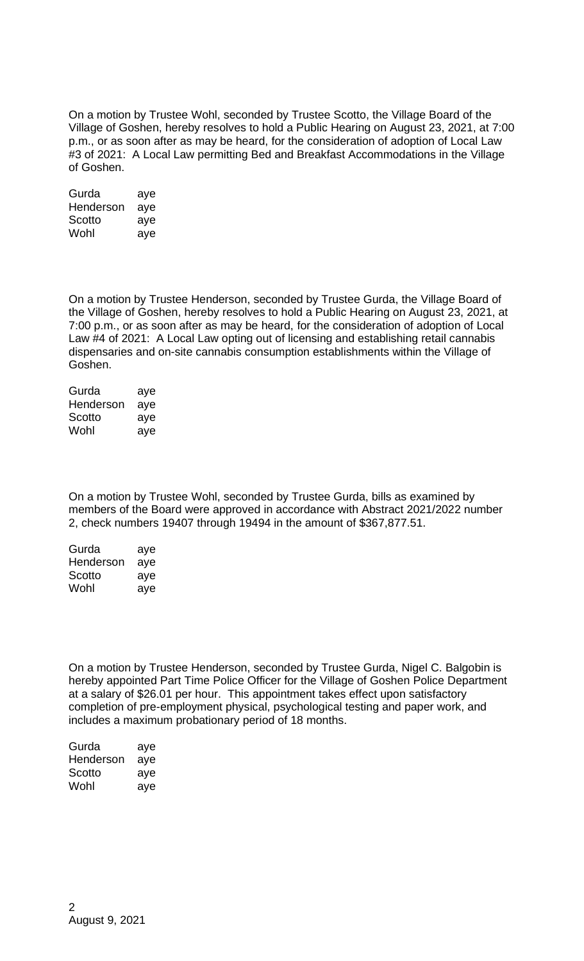On a motion by Trustee Wohl, seconded by Trustee Scotto, the Village Board of the Village of Goshen, hereby resolves to hold a Public Hearing on August 23, 2021, at 7:00 p.m., or as soon after as may be heard, for the consideration of adoption of Local Law #3 of 2021: A Local Law permitting Bed and Breakfast Accommodations in the Village of Goshen.

| Gurda     | aye |
|-----------|-----|
| Henderson | aye |
| Scotto    | aye |
| Wohl      | aye |

On a motion by Trustee Henderson, seconded by Trustee Gurda, the Village Board of the Village of Goshen, hereby resolves to hold a Public Hearing on August 23, 2021, at 7:00 p.m., or as soon after as may be heard, for the consideration of adoption of Local Law #4 of 2021: A Local Law opting out of licensing and establishing retail cannabis dispensaries and on-site cannabis consumption establishments within the Village of Goshen.

| Gurda     | aye |
|-----------|-----|
| Henderson | aye |
| Scotto    | aye |
| Wohl      | aye |

On a motion by Trustee Wohl, seconded by Trustee Gurda, bills as examined by members of the Board were approved in accordance with Abstract 2021/2022 number 2, check numbers 19407 through 19494 in the amount of \$367,877.51.

| Gurda     | aye |
|-----------|-----|
| Henderson | aye |
| Scotto    | aye |
| Wohl      | aye |

On a motion by Trustee Henderson, seconded by Trustee Gurda, Nigel C. Balgobin is hereby appointed Part Time Police Officer for the Village of Goshen Police Department at a salary of \$26.01 per hour. This appointment takes effect upon satisfactory completion of pre-employment physical, psychological testing and paper work, and includes a maximum probationary period of 18 months.

| Gurda     | aye |
|-----------|-----|
| Henderson | aye |
| Scotto    | aye |
| Wohl      | aye |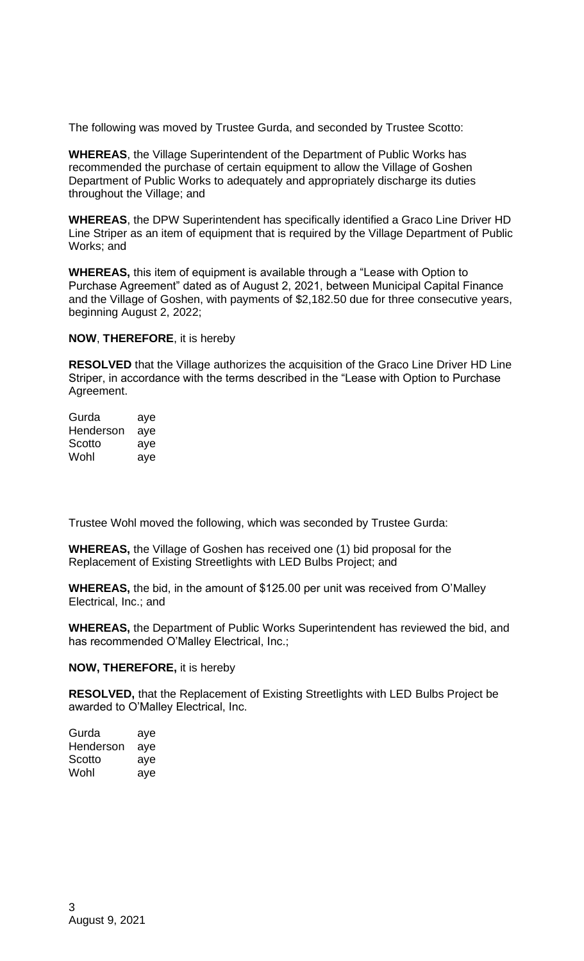The following was moved by Trustee Gurda, and seconded by Trustee Scotto:

**WHEREAS**, the Village Superintendent of the Department of Public Works has recommended the purchase of certain equipment to allow the Village of Goshen Department of Public Works to adequately and appropriately discharge its duties throughout the Village; and

**WHEREAS**, the DPW Superintendent has specifically identified a Graco Line Driver HD Line Striper as an item of equipment that is required by the Village Department of Public Works; and

**WHEREAS,** this item of equipment is available through a "Lease with Option to Purchase Agreement" dated as of August 2, 2021, between Municipal Capital Finance and the Village of Goshen, with payments of \$2,182.50 due for three consecutive years, beginning August 2, 2022;

**NOW**, **THEREFORE**, it is hereby

**RESOLVED** that the Village authorizes the acquisition of the Graco Line Driver HD Line Striper, in accordance with the terms described in the "Lease with Option to Purchase Agreement.

| Gurda     | aye |
|-----------|-----|
| Henderson | aye |
| Scotto    | aye |
| Wohl      | aye |

Trustee Wohl moved the following, which was seconded by Trustee Gurda:

**WHEREAS,** the Village of Goshen has received one (1) bid proposal for the Replacement of Existing Streetlights with LED Bulbs Project; and

**WHEREAS,** the bid, in the amount of \$125.00 per unit was received from O'Malley Electrical, Inc.; and

**WHEREAS,** the Department of Public Works Superintendent has reviewed the bid, and has recommended O'Malley Electrical, Inc.;

**NOW, THEREFORE,** it is hereby

**RESOLVED,** that the Replacement of Existing Streetlights with LED Bulbs Project be awarded to O'Malley Electrical, Inc.

| Gurda     | aye |
|-----------|-----|
| Henderson | aye |
| Scotto    | aye |
| Wohl      | aye |